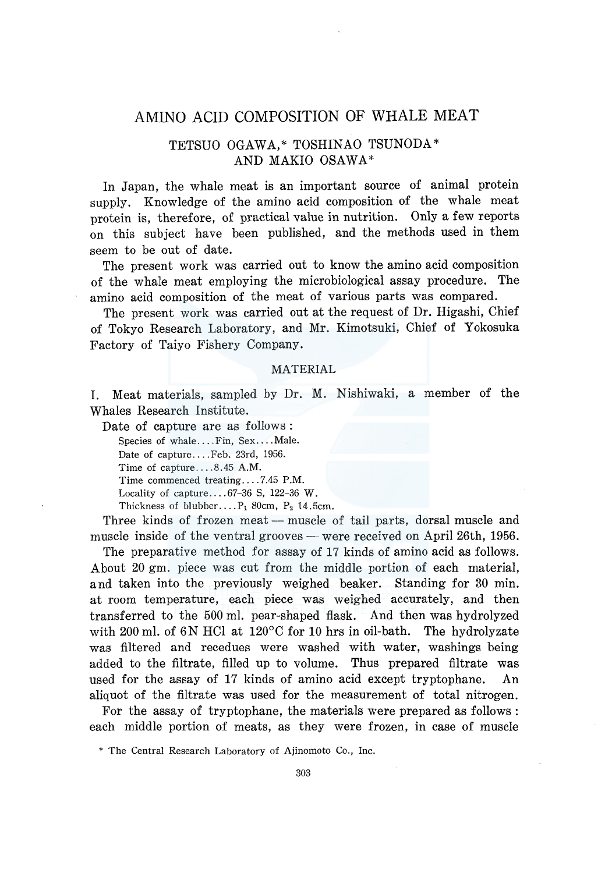# AMINO ACID COMPOSITION OF WHALE MEAT

## TETSUO OGAWA,\* TOSHINAO TSUNODA\* AND MAKIO OSAWA\*

In Japan, the whale meat is an important source of animal protein supply. Knowledge of the amino acid composition of the whale meat protein is, therefore, of practical value in nutrition. Only a few reports on this subject have been published, and the methods used in them seem to be out of date.

The present work was carried out to know the amino acid composition of the whale meat employing the microbiological assay procedure. The amino acid composition of the meat of various parts was compared.

The present work was carried out at the request of Dr. Higashi, Chief of Tokyo Research Laboratory, and Mr. Kimotsuki, Chief of Y okosuka Factory of Taiyo Fishery Company.

#### MATERIAL

I. Meat materials, sampled by Dr. M. Nishiwaki, a member of the Whales Research Institute.

Date of capture are as follows:

Species of whale.... Fin, Sex.... Male.

Date of capture .... Feb. 23rd, 1956.

Time of capture .... 8.45 A.M.

Time commenced treating .... 7.45 P.M.

Locality of capture .... 67-36 S, 122-36 W.

Thickness of blubber.... $P_1$  80cm,  $P_2$  14.5cm.

Three kinds of frozen meat — muscle of tail parts, dorsal muscle and muscle inside of the ventral grooves — were received on April 26th,  $1956$ .

The preparative method for assay of 17 kinds of amino acid as follows. About 20 gm. piece was cut from the middle portion of each material, and taken into the previously weighed beaker. Standing for 30 min. at room temperature, each piece was weighed accurately, and then transferred to the 500 ml. pear-shaped flask. And then was hydrolyzed with 200 ml. of 6N HCl at  $120^{\circ}$ C for 10 hrs in oil-bath. The hydrolyzate was filtered and recedues were washed with water, washings being added to the filtrate, filled up to volume. Thus prepared filtrate was used for the assay of 17 kinds of amino acid except tryptophane. An aliquot of the filtrate was used for the measurement of total nitrogen.

For the assay of tryptophane, the materials were prepared as follows: each middle portion of meats, as they were frozen, in case of muscle

<sup>\*</sup> The Central Research Laboratory of Ajinomoto Co., Inc.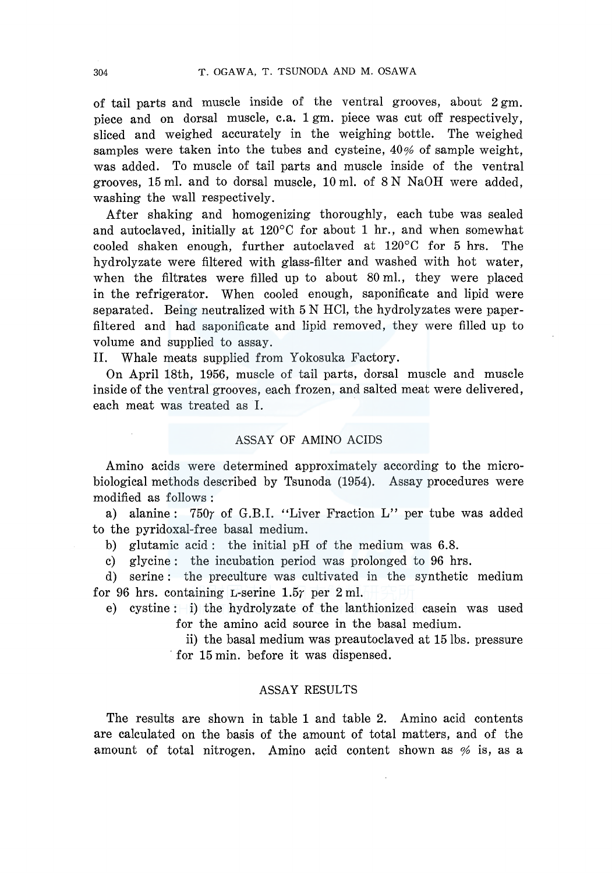of tail parts and muscle inside of the ventral grooves, about  $2 \text{ gm}$ . piece and on dorsal muscle, c.a. 1 gm. piece was cut off respectively, sliced and weighed accurately in the weighing bottle. The weighed samples were taken into the tubes and cysteine,  $40\%$  of sample weight. was added. To muscle of tail parts and muscle inside of the ventral grooves, 15 ml. and to dorsal muscle, 10 ml. of 8 N NaOH were added, washing the wall respectively.

After shaking and homogenizing thoroughly, each tube was sealed and autoclaved, initially at 120°C for about 1 hr., and when somewhat cooled shaken enough, further autoclaved at 120°C for 5 hrs. The hydrolyzate were filtered with glass-filter and washed with hot water, when the filtrates were filled up to about 80 ml., they were placed in the refrigerator. When cooled enough, saponificate and lipid were separated. Being neutralized with 5 N HCl, the hydrolyzates were paperfiltered and had saponificate and lipid removed, they were filled up to volume and supplied to assay.

II. Whale meats supplied from Yokosuka Factory.

On April 18th, 1956, muscle of tail parts, dorsal muscle and muscle inside of the ventral grooves, each frozen, and salted meat were delivered, each meat was treated as I.

#### ASSAY OF AMINO ACIDS

Amino acids were determined approximately according to the microbiological methods described by Tsunoda (1954). Assay procedures were modified as follows :

a) alanine: 750 $\gamma$  of G.B.I. "Liver Fraction L" per tube was added to the pyridoxal-free basal medium.

b) glutamic acid: the initial pH of the medium was 6.8.

c) glycine: the incubation period was prolonged to 96 hrs.

d) serine: the preculture was cultivated in the synthetic medium for 96 hrs. containing L-serine  $1.5r$  per 2 ml.

e) cystine: i) the hydrolyzate of the lanthionized casein was used for the amino acid source in the basal medium.

> ii) the basal medium was preautoclaved at 15 lbs. pressure for 15 min. before it was dispensed.

#### ASSAY RESULTS

The results are shown in table 1 and table 2. Amino acid contents are calculated on the basis of the amount of total matters, and of the amount of total nitrogen. Amino acid content shown as  $\%$  is, as a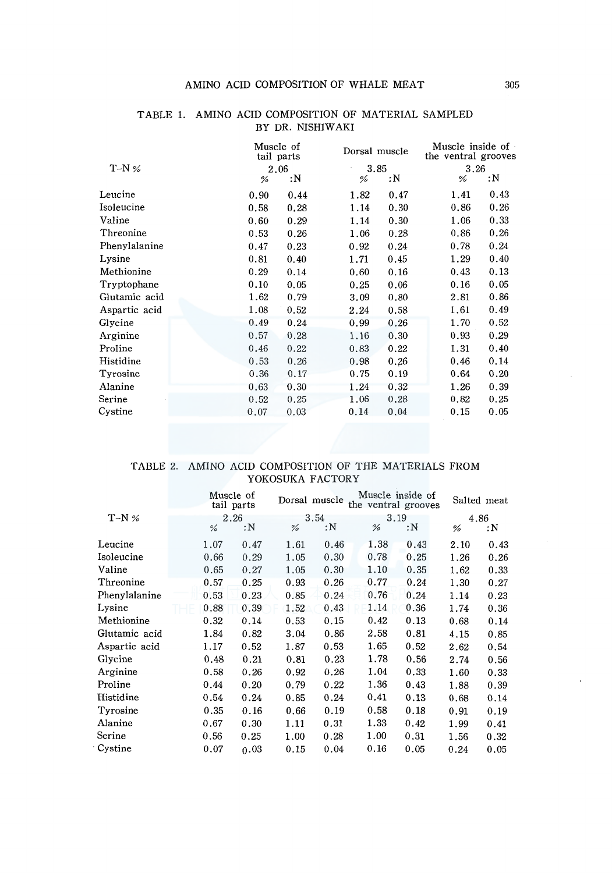|               |  | Muscle of<br>tail parts |      |      | Dorsal muscle | Muscle inside of<br>the ventral grooves |      |  |
|---------------|--|-------------------------|------|------|---------------|-----------------------------------------|------|--|
| $T-N$ %       |  | 2.06                    |      |      | 3.85          | 3.26                                    |      |  |
|               |  | %                       | :N   | %    | : N           | %                                       | :N   |  |
| Leucine       |  | 0.90                    | 0.44 | 1.82 | 0.47          | 1.41                                    | 0.43 |  |
| Isoleucine    |  | 0.58                    | 0.28 | 1.14 | 0.30          | 0.86                                    | 0.26 |  |
| Valine        |  | 0.60                    | 0.29 | 1.14 | 0.30          | 1.06                                    | 0.33 |  |
| Threonine     |  | 0.53                    | 0.26 | 1.06 | 0.28          | 0.86                                    | 0.26 |  |
| Phenylalanine |  | 0.47                    | 0.23 | 0.92 | 0.24          | 0.78                                    | 0.24 |  |
| Lysine        |  | 0.81                    | 0.40 | 1.71 | 0.45          | 1.29                                    | 0.40 |  |
| Methionine    |  | 0.29                    | 0.14 | 0.60 | 0.16          | 0.43                                    | 0.13 |  |
| Tryptophane   |  | 0.10                    | 0.05 | 0.25 | 0.06          | 0.16                                    | 0.05 |  |
| Glutamic acid |  | 1.62                    | 0.79 | 3.09 | 0.80          | 2.81                                    | 0.86 |  |
| Aspartic acid |  | 1.08                    | 0.52 | 2.24 | 0.58          | 1.61                                    | 0.49 |  |
| Glycine       |  | 0.49                    | 0.24 | 0.99 | 0.26          | 1.70                                    | 0.52 |  |
| Arginine      |  | 0.57                    | 0.28 | 1.16 | 0.30          | 0.93                                    | 0.29 |  |
| Proline       |  | 0.46                    | 0.22 | 0.83 | 0.22          | 1.31                                    | 0.40 |  |
| Histidine     |  | 0.53                    | 0.26 | 0.98 | 0.26          | 0.46                                    | 0.14 |  |
| Tyrosine      |  | 0.36                    | 0.17 | 0.75 | 0.19          | 0.64                                    | 0.20 |  |
| Alanine       |  | 0.63                    | 0.30 | 1.24 | 0.32          | 1.26                                    | 0.39 |  |
| Serine        |  | 0.52                    | 0.25 | 1.06 | 0.28          | 0.82                                    | 0.25 |  |
| Cystine       |  | 0.07                    | 0.03 | 0.14 | 0,04          | 0.15                                    | 0.05 |  |

#### TABLE 1. AMINO ACID COMPOSITION OF MATERIAL SAMPLED BY DR. NISHIW AKI

### TABLE 2. AMINO ACID COMPOSITION OF THE MATERIALS FROM YOKOSUKA FACTORY

|                            | Muscle of<br>tail parts |      |      | Dorsal muscle |      | Muscle inside of<br>the ventral grooves |      | Salted meat |      |
|----------------------------|-------------------------|------|------|---------------|------|-----------------------------------------|------|-------------|------|
| $T-N$ %                    | 2.26                    |      | 3.54 |               | 3.19 |                                         | 4.86 |             |      |
|                            |                         | %    | :N   | %             | : N  | %                                       | :N   | %           | : N  |
| Leucine                    |                         | 1.07 | 0.47 | 1.61          | 0.46 | 1.38                                    | 0.43 | 2.10        | 0.43 |
| Isoleucine                 |                         | 0.66 | 0.29 | 1.05          | 0.30 | 0.78                                    | 0.25 | 1.26        | 0.26 |
| Valine                     |                         | 0.65 | 0.27 | 1.05          | 0.30 | 1.10                                    | 0.35 | 1.62        | 0.33 |
| $\operatorname{Threonine}$ |                         | 0.57 | 0.25 | 0.93          | 0.26 | 0.77                                    | 0.24 | 1.30        | 0.27 |
| Phenylalanine              |                         | 0.53 | 0.23 | 0.85          | 0.24 | 0.76                                    | 0.24 | 1.14        | 0.23 |
| Lysine                     |                         | 0.88 | 0.39 | 1.52          | 0.43 | 1.14                                    | 0.36 | 1.74        | 0.36 |
| Methionine                 |                         | 0.32 | 0.14 | 0.53          | 0.15 | 0.42                                    | 0.13 | 0.68        | 0.14 |
| Glutamic acid              |                         | 1.84 | 0.82 | 3.04          | 0.86 | 2.58                                    | 0.81 | 4.15        | 0.85 |
| Aspartic acid              |                         | 1.17 | 0.52 | 1.87          | 0.53 | 1.65                                    | 0.52 | 2.62        | 0.54 |
| Glycine                    |                         | 0.48 | 0.21 | 0.81          | 0.23 | 1.78                                    | 0.56 | 2.74        | 0.56 |
| Arginine                   |                         | 0.58 | 0.26 | 0.92          | 0.26 | 1.04                                    | 0.33 | 1.60        | 0.33 |
| Proline                    |                         | 0.44 | 0.20 | 0.79          | 0.22 | 1.36                                    | 0.43 | 1.88        | 0.39 |
| Histidine                  |                         | 0.54 | 0.24 | 0.85          | 0.24 | 0.41                                    | 0.13 | 0.68        | 0.14 |
| Tyrosine                   |                         | 0.35 | 0.16 | 0.66          | 0.19 | 0.58                                    | 0.18 | 0.91        | 0.19 |
| Alanine                    |                         | 0.67 | 0.30 | 1.11          | 0.31 | 1.33                                    | 0.42 | 1.99        | 0.41 |
| Serine                     |                         | 0.56 | 0.25 | 1.00          | 0.28 | 1.00                                    | 0.31 | 1.56        | 0.32 |
| Cystine                    |                         | 0.07 | 0.03 | 0.15          | 0.04 | 0.16                                    | 0.05 | 0.24        | 0.05 |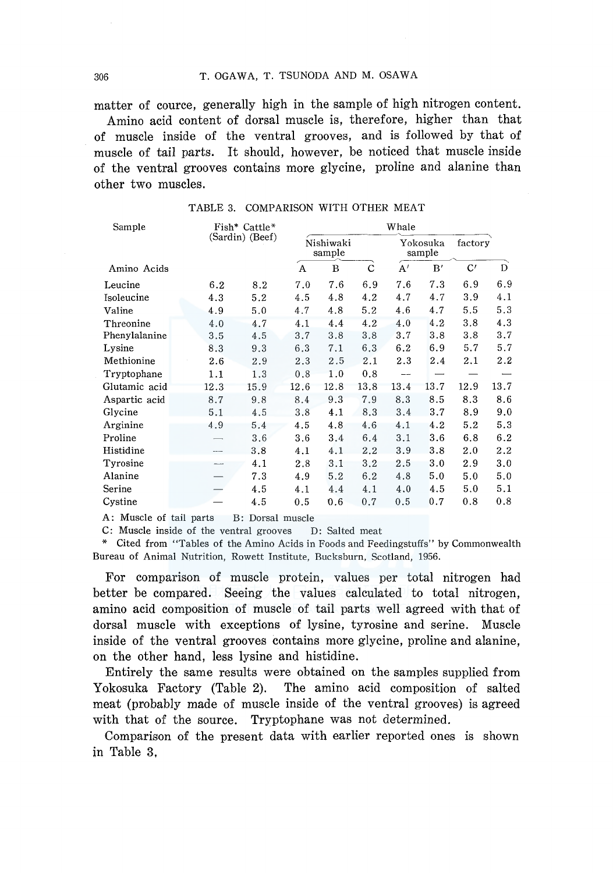matter of cource, generally high in the sample of high nitrogen content. Amino acid content of dorsal muscle is, therefore, higher than that of muscle inside of the ventral grooves, and is followed by that of muscle of tail parts. It should, however, be noticed that muscle inside of the ventral grooves contains more glycine, proline and alanine than other two muscles.

| Sample        | Fish* Cattle*   |      | Whale |                     |             |      |                    |      |         |  |
|---------------|-----------------|------|-------|---------------------|-------------|------|--------------------|------|---------|--|
|               | (Sardin) (Beef) |      |       | Nishiwaki<br>sample |             |      | Yokosuka<br>sample |      | factory |  |
| Amino Acids   |                 |      | A     | B                   | $\mathbf C$ | A'   | B'                 | C'   | D       |  |
| Leucine       | 6.2             | 8.2  | 7.0   | 7.6                 | 6.9         | 7.6  | 7.3                | 6.9  | 6.9     |  |
| Isoleucine    | 4.3             | 5.2  | 4.5   | 4.8                 | 4.2         | 4.7  | 4.7                | 3.9  | 4.1     |  |
| Valine        | 4.9             | 5.0  | 4.7   | 4.8                 | 5.2         | 4.6  | 4.7                | 5.5  | 5.3     |  |
| Threonine     | 4.0             | 4.7  | 4.1   | 4.4                 | 4.2         | 4.0  | 4.2                | 3.8  | 4.3     |  |
| Phenylalanine | 3.5             | 4.5  | 3.7   | 3.8                 | 3.8         | 3.7  | 3.8                | 3.8  | 3.7     |  |
| Lysine        | 8.3             | 9.3  | 6.3   | 7.1                 | 6.3         | 6.2  | 6.9                | 5.7  | 5.7     |  |
| Methionine    | 2.6             | 2.9  | 2.3   | 2.5                 | 2.1         | 2.3  | 2.4                | 2.1  | $2.2\,$ |  |
| Tryptophane   | 1.1             | 1.3  | 0.8   | 1.0                 | 0.8         | --   |                    |      |         |  |
| Glutamic acid | 12.3            | 15.9 | 12.6  | 12.8                | 13.8        | 13.4 | 13.7               | 12.9 | 13.7    |  |
| Aspartic acid | 8.7             | 9.8  | 8.4   | 9.3                 | 7.9         | 8.3  | 8.5                | 8.3  | 8.6     |  |
| Glycine       | 5.1             | 4.5  | 3.8   | 4.1                 | 8.3         | 3.4  | 3.7                | 8.9  | 9.0     |  |
| Arginine      | 4,9             | 5.4  | 4.5   | 4.8                 | 4.6         | 4.1  | 4.2                | 5.2  | 5.3     |  |
| Proline       |                 | 3.6  | 3.6   | 3.4                 | 6.4         | 3.1  | 3.6                | 6.8  | 6.2     |  |
| Histidine     |                 | 3.8  | 4.1   | 4.1                 | 2.2         | 3.9  | 3.8                | 2.0  | 2.2     |  |
| Tyrosine      |                 | 4.1  | 2.8   | 3.1                 | 3.2         | 2.5  | 3.0                | 2.9  | 3.0     |  |
| Alanine       |                 | 7.3  | 4.9   | 5.2                 | 6.2         | 4.8  | 5.0                | 5.0  | 5.0     |  |
| Serine        |                 | 4.5  | 4.1   | 4.4                 | 4.1         | 4,0  | 4.5                | 5.0  | 5.1     |  |
| Cystine       |                 | 4.5  | 0.5   | 0.6                 | 0.7         | 0.5  | 0.7                | 0.8  | 0.8     |  |

TABLE 3. COMPARISON WITH OTHER MEAT

A: Muscle of tail parts B: Dorsal muscle

C: Muscle inside of the ventral grooves D: Salted meat

\* Cited from "Tables of the Amino Acids in Foods and Feedingstuffs" by Commonwealth Bureau of Animal Nutrition, Rowett Institute, Bucksburn, Scotland, 1956.

For comparison of muscle protein, values per total nitrogen had better be compared. Seeing the values calculated to total nitrogen, amino acid composition of muscle of tail parts well agreed with that of dorsal muscle with exceptions of lysine, tyrosine and serine. Muscle inside of the ventral grooves contains more glycine, proline and alanine, on the other hand, less lysine and histidine.

Entirely the same results were obtained on the samples supplied from Yokosuka Factory (Table 2). The amino acid composition of salted meat (probably made of muscle inside of the ventral grooves) is agreed with that of the source. Tryptophane was not determined.

Comparison of the present data with earlier reported ones is shown in Table 3,